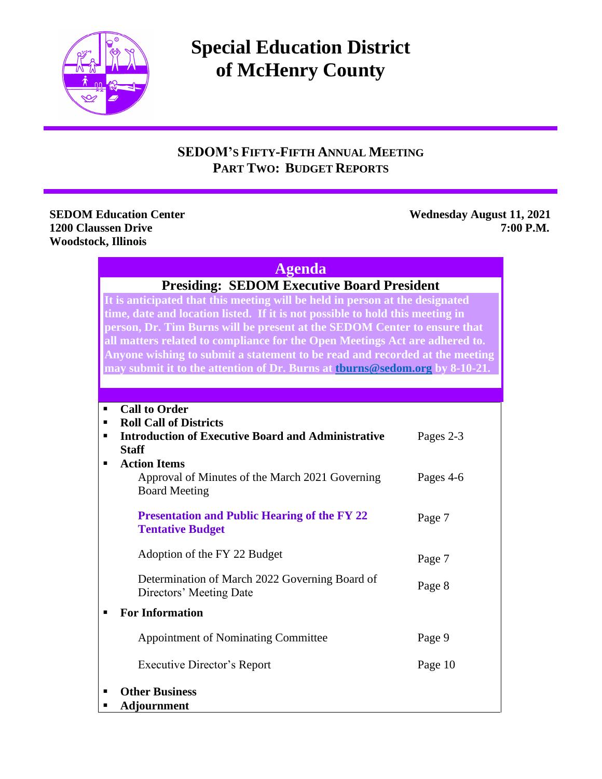

## **Special Education District of McHenry County**

### **SEDOM'S FIFTY-FIFTH ANNUAL MEETING PART TWO: BUDGET REPORTS**

# **Woodstock, Illinois**

**SEDOM Education Center Wednesday August 11, 2021 1200 Claussen Drive 7:00 P.M.**

#### **Agenda**

#### **Presiding: SEDOM Executive Board President**

**It is anticipated that this meeting will be held in person at the designated time, date and location listed. If it is not possible to hold this meeting in person, Dr. Tim Burns will be present at the SEDOM Center to ensure that all matters related to compliance for the Open Meetings Act are adhered to. Anyone wishing to submit a statement to be read and recorded at the meeting may submit it to the attention of Dr. Burns at [tburns@sedom.org](mailto:tburns@sedom.org) by 8-10-21.**

| <b>Call to Order</b>                                      |           |
|-----------------------------------------------------------|-----------|
| <b>Roll Call of Districts</b>                             |           |
| <b>Introduction of Executive Board and Administrative</b> | Pages 2-3 |
| <b>Staff</b>                                              |           |
| <b>Action Items</b>                                       |           |
| Approval of Minutes of the March 2021 Governing           | Pages 4-6 |
| <b>Board Meeting</b>                                      |           |
|                                                           |           |
| <b>Presentation and Public Hearing of the FY 22</b>       |           |
| <b>Tentative Budget</b>                                   | Page 7    |
|                                                           |           |
| Adoption of the FY 22 Budget                              |           |
|                                                           | Page 7    |
| Determination of March 2022 Governing Board of            |           |
| Directors' Meeting Date                                   | Page 8    |
|                                                           |           |
| <b>For Information</b>                                    |           |
|                                                           |           |
| <b>Appointment of Nominating Committee</b>                | Page 9    |
|                                                           |           |
| Executive Director's Report                               | Page 10   |
|                                                           |           |
| <b>Other Business</b>                                     |           |
| Adjournment                                               |           |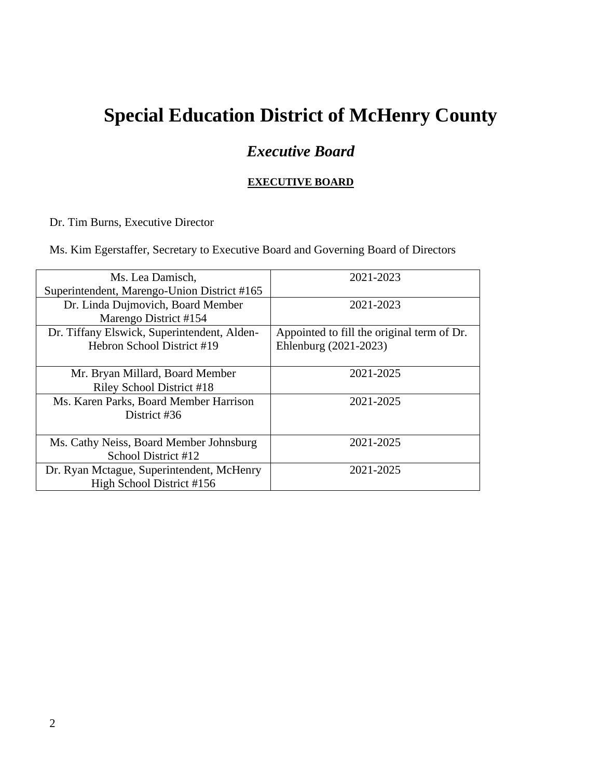## **Special Education District of McHenry County**

### *Executive Board*

#### **EXECUTIVE BOARD**

Dr. Tim Burns, Executive Director

Ms. Kim Egerstaffer, Secretary to Executive Board and Governing Board of Directors

| Ms. Lea Damisch,                            | 2021-2023                                  |  |
|---------------------------------------------|--------------------------------------------|--|
| Superintendent, Marengo-Union District #165 |                                            |  |
| Dr. Linda Dujmovich, Board Member           | 2021-2023                                  |  |
| Marengo District #154                       |                                            |  |
| Dr. Tiffany Elswick, Superintendent, Alden- | Appointed to fill the original term of Dr. |  |
| Hebron School District #19                  | Ehlenburg (2021-2023)                      |  |
|                                             |                                            |  |
| Mr. Bryan Millard, Board Member             | 2021-2025                                  |  |
| <b>Riley School District #18</b>            |                                            |  |
| Ms. Karen Parks, Board Member Harrison      | 2021-2025                                  |  |
| District #36                                |                                            |  |
|                                             |                                            |  |
| Ms. Cathy Neiss, Board Member Johnsburg     | 2021-2025                                  |  |
| School District #12                         |                                            |  |
| Dr. Ryan Mctague, Superintendent, McHenry   | 2021-2025                                  |  |
| High School District #156                   |                                            |  |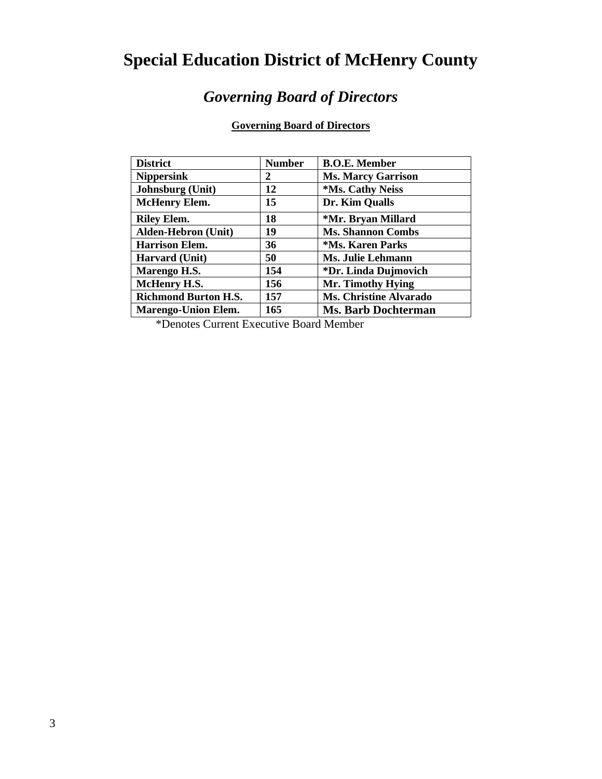## **Special Education District of McHenry County**

### *Governing Board of Directors*

| <b>District</b>             | <b>Number</b> | <b>B.O.E. Member</b>          |  |
|-----------------------------|---------------|-------------------------------|--|
| <b>Nippersink</b>           | 2             | <b>Ms. Marcy Garrison</b>     |  |
| <b>Johnsburg</b> (Unit)     | 12            | *Ms. Cathy Neiss              |  |
| <b>McHenry Elem.</b>        | 15            | Dr. Kim Qualls                |  |
| <b>Riley Elem.</b>          | 18            | *Mr. Bryan Millard            |  |
| <b>Alden-Hebron (Unit)</b>  | 19            | <b>Ms. Shannon Combs</b>      |  |
| <b>Harrison Elem.</b>       | 36            | *Ms. Karen Parks              |  |
| Harvard (Unit)              | 50            | Ms. Julie Lehmann             |  |
| Marengo H.S.                | 154           | *Dr. Linda Dujmovich          |  |
| <b>McHenry H.S.</b>         | 156           | Mr. Timothy Hying             |  |
| <b>Richmond Burton H.S.</b> | 157           | <b>Ms. Christine Alvarado</b> |  |
| <b>Marengo-Union Elem.</b>  | 165           | <b>Ms. Barb Dochterman</b>    |  |
|                             |               |                               |  |

#### **Governing Board of Directors**

\*Denotes Current Executive Board Member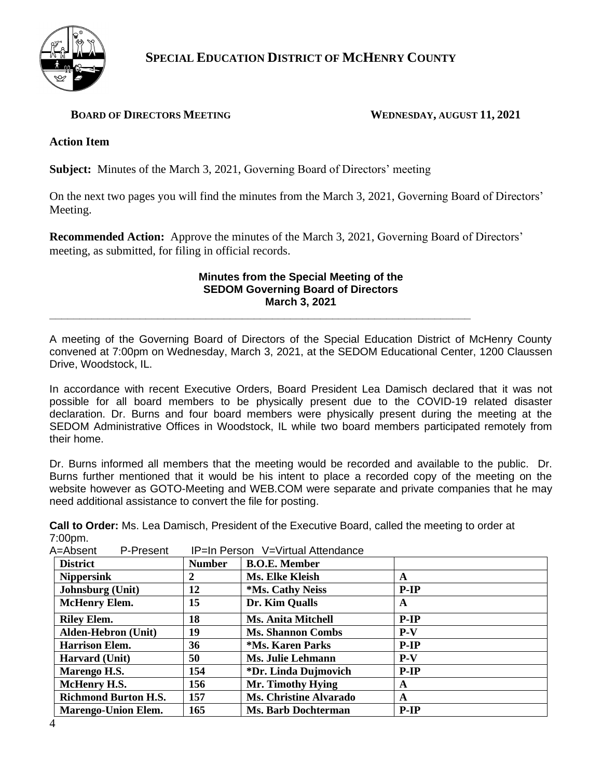

**SPECIAL EDUCATION DISTRICT OF MCHENRY COUNTY**

#### **BOARD OF DIRECTORS MEETING WEDNESDAY, AUGUST 11, 2021**

#### **Action Item**

4

**Subject:** Minutes of the March 3, 2021, Governing Board of Directors' meeting

On the next two pages you will find the minutes from the March 3, 2021, Governing Board of Directors' Meeting.

**Recommended Action:** Approve the minutes of the March 3, 2021, Governing Board of Directors' meeting, as submitted, for filing in official records.

**\_\_\_\_\_\_\_\_\_\_\_\_\_\_\_\_\_\_\_\_\_\_\_\_\_\_\_\_\_\_\_\_\_\_\_\_\_\_\_\_\_\_\_\_\_\_\_\_\_\_\_\_\_\_\_\_\_\_\_\_\_\_\_\_\_\_\_\_\_\_**

#### **Minutes from the Special Meeting of the SEDOM Governing Board of Directors March 3, 2021**

A meeting of the Governing Board of Directors of the Special Education District of McHenry County convened at 7:00pm on Wednesday, March 3, 2021, at the SEDOM Educational Center, 1200 Claussen Drive, Woodstock, IL.

In accordance with recent Executive Orders, Board President Lea Damisch declared that it was not possible for all board members to be physically present due to the COVID-19 related disaster declaration. Dr. Burns and four board members were physically present during the meeting at the SEDOM Administrative Offices in Woodstock, IL while two board members participated remotely from their home.

Dr. Burns informed all members that the meeting would be recorded and available to the public. Dr. Burns further mentioned that it would be his intent to place a recorded copy of the meeting on the website however as GOTO-Meeting and WEB.COM were separate and private companies that he may need additional assistance to convert the file for posting.

**Call to Order:** Ms. Lea Damisch, President of the Executive Board, called the meeting to order at  $7:00 \text{pm}$ .<br>A-Absent A=Absent P-Present IP=In Person V=Virtual Attendance

| A=ADSUIL<br><u>F-FICSCIIL</u><br>TESIT FEISOIT VEVIITUAI AITENDANCE |               |                               |        |  |  |  |
|---------------------------------------------------------------------|---------------|-------------------------------|--------|--|--|--|
| <b>District</b>                                                     | <b>Number</b> | <b>B.O.E. Member</b>          |        |  |  |  |
| <b>Nippersink</b>                                                   |               | Ms. Elke Kleish               | A      |  |  |  |
| <b>Johnsburg (Unit)</b>                                             | 12            | *Ms. Cathy Neiss              | $P-IP$ |  |  |  |
| <b>McHenry Elem.</b>                                                | 15            | Dr. Kim Qualls                | A      |  |  |  |
| <b>Riley Elem.</b>                                                  | 18            | <b>Ms. Anita Mitchell</b>     | $P-IP$ |  |  |  |
| <b>Alden-Hebron (Unit)</b>                                          | 19            | <b>Ms. Shannon Combs</b>      | $P-V$  |  |  |  |
| <b>Harrison Elem.</b>                                               | 36            | <b>*Ms. Karen Parks</b>       | $P-IP$ |  |  |  |
| <b>Harvard</b> (Unit)                                               | 50            | Ms. Julie Lehmann             | $P-V$  |  |  |  |
| Marengo H.S.                                                        | 154           | *Dr. Linda Dujmovich          | $P-IP$ |  |  |  |
| <b>McHenry H.S.</b>                                                 | 156           | Mr. Timothy Hying             | A      |  |  |  |
| <b>Richmond Burton H.S.</b>                                         | 157           | <b>Ms. Christine Alvarado</b> | A      |  |  |  |
| <b>Marengo-Union Elem.</b>                                          | 165           | <b>Ms. Barb Dochterman</b>    | $P-IP$ |  |  |  |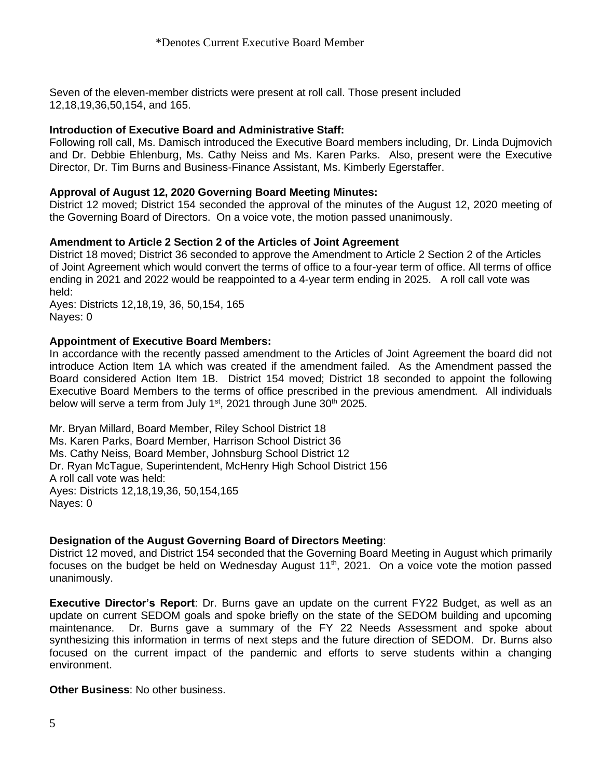Seven of the eleven-member districts were present at roll call. Those present included 12,18,19,36,50,154, and 165.

#### **Introduction of Executive Board and Administrative Staff:**

Following roll call, Ms. Damisch introduced the Executive Board members including, Dr. Linda Dujmovich and Dr. Debbie Ehlenburg, Ms. Cathy Neiss and Ms. Karen Parks. Also, present were the Executive Director, Dr. Tim Burns and Business-Finance Assistant, Ms. Kimberly Egerstaffer.

#### **Approval of August 12, 2020 Governing Board Meeting Minutes:**

District 12 moved; District 154 seconded the approval of the minutes of the August 12, 2020 meeting of the Governing Board of Directors. On a voice vote, the motion passed unanimously.

#### **Amendment to Article 2 Section 2 of the Articles of Joint Agreement**

District 18 moved; District 36 seconded to approve the Amendment to Article 2 Section 2 of the Articles of Joint Agreement which would convert the terms of office to a four-year term of office. All terms of office ending in 2021 and 2022 would be reappointed to a 4-year term ending in 2025. A roll call vote was held:

Ayes: Districts 12,18,19, 36, 50,154, 165 Nayes: 0

#### **Appointment of Executive Board Members:**

In accordance with the recently passed amendment to the Articles of Joint Agreement the board did not introduce Action Item 1A which was created if the amendment failed. As the Amendment passed the Board considered Action Item 1B. District 154 moved; District 18 seconded to appoint the following Executive Board Members to the terms of office prescribed in the previous amendment. All individuals below will serve a term from July  $1<sup>st</sup>$ , 2021 through June 30<sup>th</sup> 2025.

Mr. Bryan Millard, Board Member, Riley School District 18 Ms. Karen Parks, Board Member, Harrison School District 36 Ms. Cathy Neiss, Board Member, Johnsburg School District 12 Dr. Ryan McTague, Superintendent, McHenry High School District 156 A roll call vote was held: Ayes: Districts 12,18,19,36, 50,154,165 Nayes: 0

#### **Designation of the August Governing Board of Directors Meeting**:

District 12 moved, and District 154 seconded that the Governing Board Meeting in August which primarily focuses on the budget be held on Wednesday August 11<sup>th</sup>, 2021. On a voice vote the motion passed unanimously.

**Executive Director's Report**: Dr. Burns gave an update on the current FY22 Budget, as well as an update on current SEDOM goals and spoke briefly on the state of the SEDOM building and upcoming maintenance. Dr. Burns gave a summary of the FY 22 Needs Assessment and spoke about synthesizing this information in terms of next steps and the future direction of SEDOM. Dr. Burns also focused on the current impact of the pandemic and efforts to serve students within a changing environment.

**Other Business**: No other business.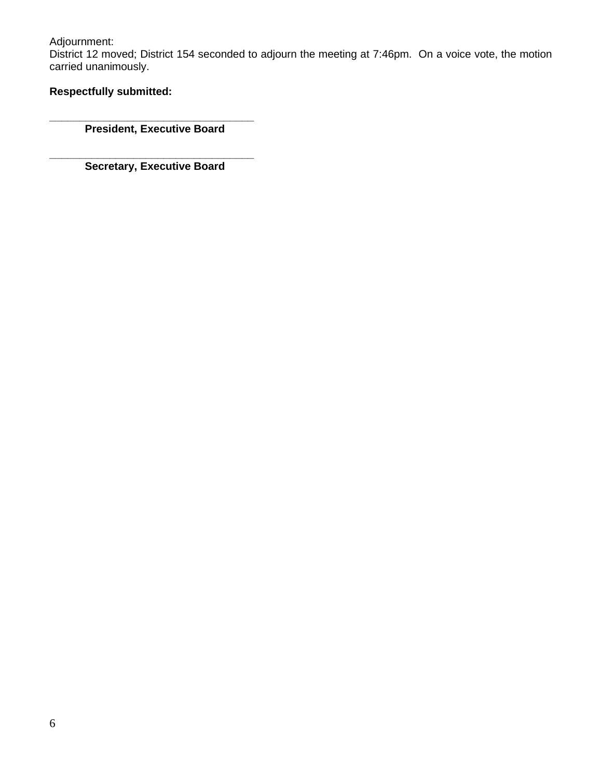Adjournment:

District 12 moved; District 154 seconded to adjourn the meeting at 7:46pm. On a voice vote, the motion carried unanimously.

#### **Respectfully submitted:**

**\_\_\_\_\_\_\_\_\_\_\_\_\_\_\_\_\_\_\_\_\_\_\_\_\_\_\_\_\_\_\_\_\_\_ President, Executive Board**

**\_\_\_\_\_\_\_\_\_\_\_\_\_\_\_\_\_\_\_\_\_\_\_\_\_\_\_\_\_\_\_\_\_\_ Secretary, Executive Board**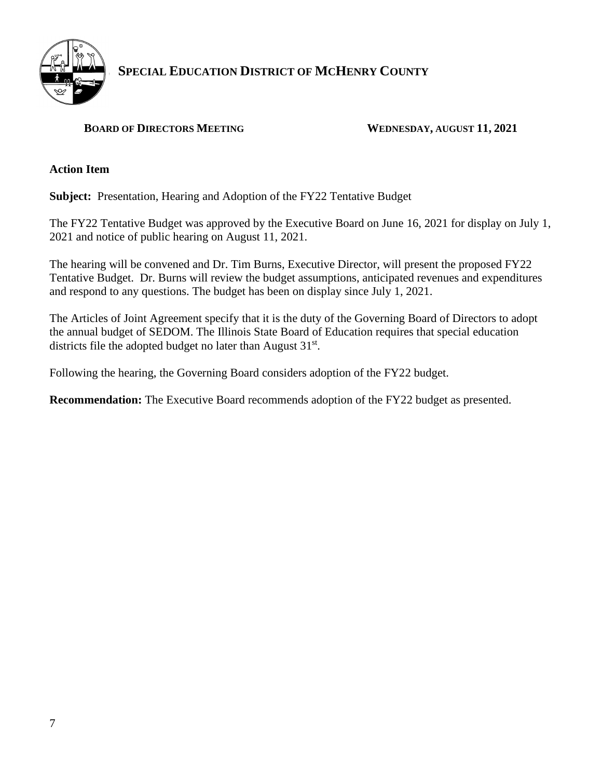

**SPECIAL E SPECIAL EDUCATION DISTRICT OF MCHENRY COUNTY**

#### **BOARD OF DIRECTORS MEETING WEDNESDAY, AUGUST 11, 2021**

#### **Action Item**

**Subject:** Presentation, Hearing and Adoption of the FY22 Tentative Budget

The FY22 Tentative Budget was approved by the Executive Board on June 16, 2021 for display on July 1, 2021 and notice of public hearing on August 11, 2021.

The hearing will be convened and Dr. Tim Burns, Executive Director, will present the proposed FY22 Tentative Budget. Dr. Burns will review the budget assumptions, anticipated revenues and expenditures and respond to any questions. The budget has been on display since July 1, 2021.

The Articles of Joint Agreement specify that it is the duty of the Governing Board of Directors to adopt the annual budget of SEDOM. The Illinois State Board of Education requires that special education districts file the adopted budget no later than August  $31<sup>st</sup>$ .

Following the hearing, the Governing Board considers adoption of the FY22 budget.

**Recommendation:** The Executive Board recommends adoption of the FY22 budget as presented.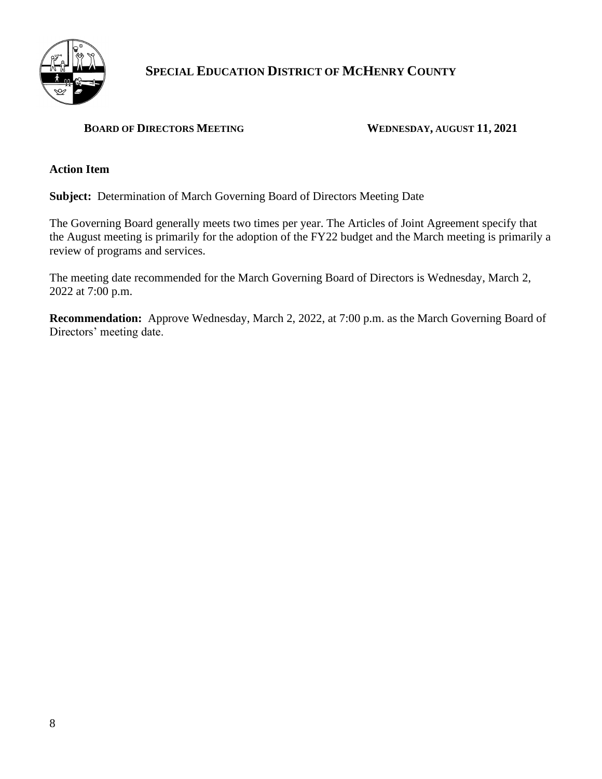

### **SPECIAL EDUCATION DISTRICT OF MCHENRY COUNTY**

#### **BOARD OF DIRECTORS MEETING WEDNESDAY, AUGUST 11, 2021**

#### **Action Item**

**Subject:** Determination of March Governing Board of Directors Meeting Date

The Governing Board generally meets two times per year. The Articles of Joint Agreement specify that the August meeting is primarily for the adoption of the FY22 budget and the March meeting is primarily a review of programs and services.

The meeting date recommended for the March Governing Board of Directors is Wednesday, March 2, 2022 at 7:00 p.m.

**Recommendation:** Approve Wednesday, March 2, 2022, at 7:00 p.m. as the March Governing Board of Directors' meeting date.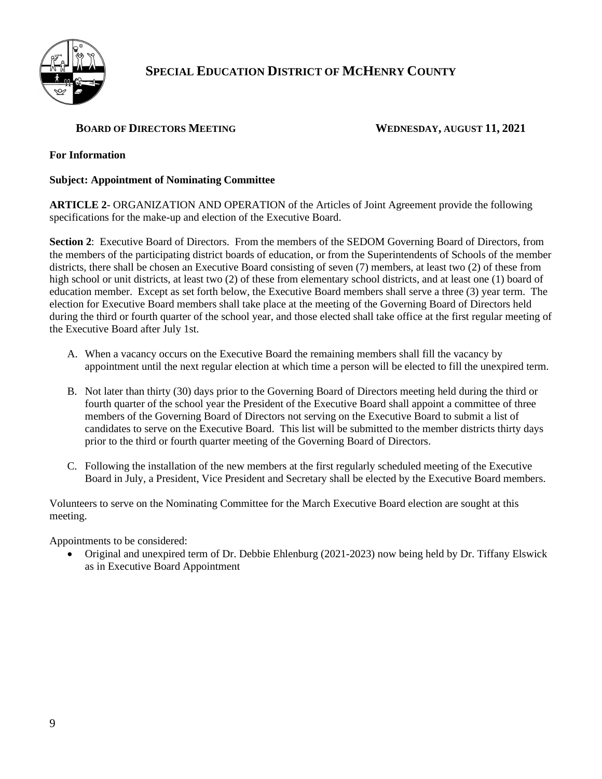

### **SPECIAL EDUCATION DISTRICT OF MCHENRY COUNTY**

#### **BOARD OF DIRECTORS MEETING WEDNESDAY, AUGUST 11, 2021**

#### **For Information**

#### **Subject: Appointment of Nominating Committee**

**ARTICLE 2**- ORGANIZATION AND OPERATION of the Articles of Joint Agreement provide the following specifications for the make-up and election of the Executive Board.

**Section 2**: Executive Board of Directors. From the members of the SEDOM Governing Board of Directors, from the members of the participating district boards of education, or from the Superintendents of Schools of the member districts, there shall be chosen an Executive Board consisting of seven (7) members, at least two (2) of these from high school or unit districts, at least two (2) of these from elementary school districts, and at least one (1) board of education member. Except as set forth below, the Executive Board members shall serve a three (3) year term. The election for Executive Board members shall take place at the meeting of the Governing Board of Directors held during the third or fourth quarter of the school year, and those elected shall take office at the first regular meeting of the Executive Board after July 1st.

- A. When a vacancy occurs on the Executive Board the remaining members shall fill the vacancy by appointment until the next regular election at which time a person will be elected to fill the unexpired term.
- B. Not later than thirty (30) days prior to the Governing Board of Directors meeting held during the third or fourth quarter of the school year the President of the Executive Board shall appoint a committee of three members of the Governing Board of Directors not serving on the Executive Board to submit a list of candidates to serve on the Executive Board. This list will be submitted to the member districts thirty days prior to the third or fourth quarter meeting of the Governing Board of Directors.
- C. Following the installation of the new members at the first regularly scheduled meeting of the Executive Board in July, a President, Vice President and Secretary shall be elected by the Executive Board members.

Volunteers to serve on the Nominating Committee for the March Executive Board election are sought at this meeting.

Appointments to be considered:

• Original and unexpired term of Dr. Debbie Ehlenburg (2021-2023) now being held by Dr. Tiffany Elswick as in Executive Board Appointment